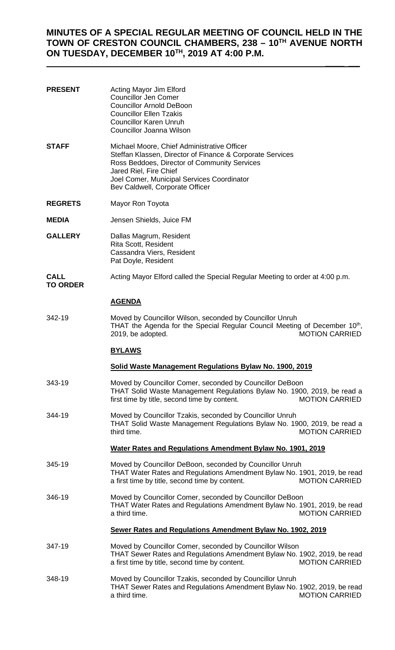# **MINUTES OF A SPECIAL REGULAR MEETING OF COUNCIL HELD IN THE TOWN OF CRESTON COUNCIL CHAMBERS, 238 – 10TH AVENUE NORTH ON TUESDAY, DECEMBER 10TH, 2019 AT 4:00 P.M.**

 $\mathcal{L}$ 

| <b>PRESENT</b>                 | Acting Mayor Jim Elford<br><b>Councillor Jen Comer</b><br><b>Councillor Arnold DeBoon</b><br><b>Councillor Ellen Tzakis</b><br><b>Councillor Karen Unruh</b><br>Councillor Joanna Wilson                                                                            |  |  |  |  |
|--------------------------------|---------------------------------------------------------------------------------------------------------------------------------------------------------------------------------------------------------------------------------------------------------------------|--|--|--|--|
| STAFF                          | Michael Moore, Chief Administrative Officer<br>Steffan Klassen, Director of Finance & Corporate Services<br>Ross Beddoes, Director of Community Services<br>Jared Riel, Fire Chief<br>Joel Comer, Municipal Services Coordinator<br>Bev Caldwell, Corporate Officer |  |  |  |  |
| <b>REGRETS</b>                 | Mayor Ron Toyota                                                                                                                                                                                                                                                    |  |  |  |  |
| <b>MEDIA</b>                   | Jensen Shields, Juice FM                                                                                                                                                                                                                                            |  |  |  |  |
| <b>GALLERY</b>                 | Dallas Magrum, Resident<br>Rita Scott, Resident<br>Cassandra Viers, Resident<br>Pat Doyle, Resident                                                                                                                                                                 |  |  |  |  |
| <b>CALL</b><br><b>TO ORDER</b> | Acting Mayor Elford called the Special Regular Meeting to order at 4:00 p.m.                                                                                                                                                                                        |  |  |  |  |
|                                | <b>AGENDA</b>                                                                                                                                                                                                                                                       |  |  |  |  |
| 342-19                         | Moved by Councillor Wilson, seconded by Councillor Unruh<br>THAT the Agenda for the Special Regular Council Meeting of December 10 <sup>th</sup> ,<br><b>MOTION CARRIED</b><br>2019, be adopted.                                                                    |  |  |  |  |
|                                | <b>BYLAWS</b>                                                                                                                                                                                                                                                       |  |  |  |  |
|                                | Solid Waste Management Regulations Bylaw No. 1900, 2019                                                                                                                                                                                                             |  |  |  |  |
| 343-19                         | Moved by Councillor Comer, seconded by Councillor DeBoon<br>THAT Solid Waste Management Regulations Bylaw No. 1900, 2019, be read a<br>first time by title, second time by content.<br><b>MOTION CARRIED</b>                                                        |  |  |  |  |
| 344-19                         | Moved by Councillor Tzakis, seconded by Councillor Unruh<br>THAT Solid Waste Management Regulations Bylaw No. 1900, 2019, be read a<br><b>MOTION CARRIED</b><br>third time.                                                                                         |  |  |  |  |
|                                | Water Rates and Regulations Amendment Bylaw No. 1901, 2019                                                                                                                                                                                                          |  |  |  |  |
| 345-19                         | Moved by Councillor DeBoon, seconded by Councillor Unruh<br>THAT Water Rates and Regulations Amendment Bylaw No. 1901, 2019, be read<br>a first time by title, second time by content.<br><b>MOTION CARRIED</b>                                                     |  |  |  |  |
| 346-19                         | Moved by Councillor Comer, seconded by Councillor DeBoon<br>THAT Water Rates and Regulations Amendment Bylaw No. 1901, 2019, be read<br>a third time.<br><b>MOTION CARRIED</b>                                                                                      |  |  |  |  |
|                                | Sewer Rates and Regulations Amendment Bylaw No. 1902, 2019                                                                                                                                                                                                          |  |  |  |  |
| 347-19                         | Moved by Councillor Comer, seconded by Councillor Wilson<br>THAT Sewer Rates and Regulations Amendment Bylaw No. 1902, 2019, be read<br>a first time by title, second time by content.<br><b>MOTION CARRIED</b>                                                     |  |  |  |  |
| 348-19                         | Moved by Councillor Tzakis, seconded by Councillor Unruh<br>THAT Sewer Rates and Regulations Amendment Bylaw No. 1902, 2019, be read                                                                                                                                |  |  |  |  |